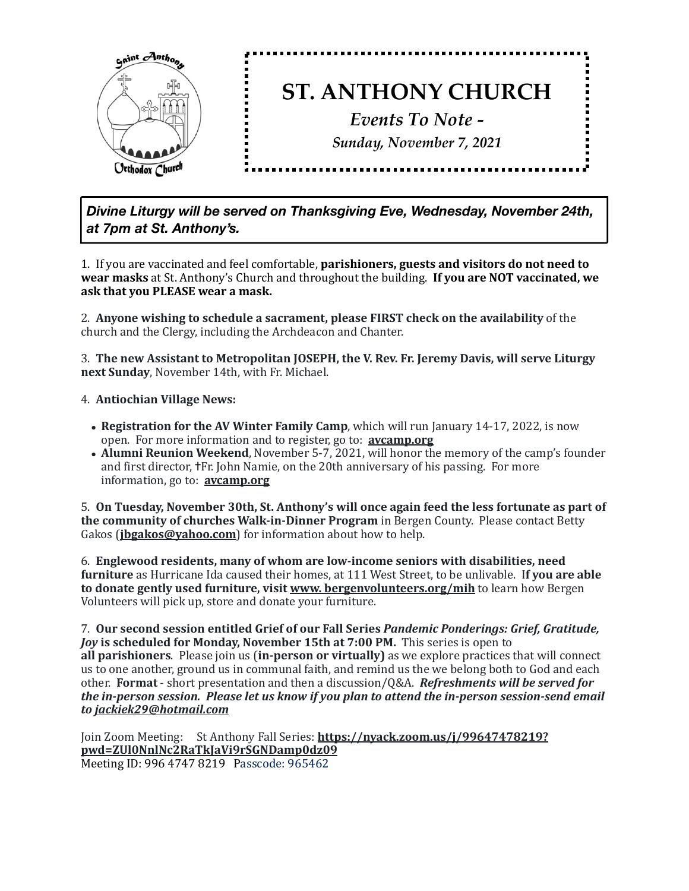

*Divine Liturgy will be served on Thanksgiving Eve, Wednesday, November 24th, at 7pm at St. Anthony's.*

1. If you are vaccinated and feel comfortable, **parishioners, guests and visitors do not need to** wear masks at St. Anthony's Church and throughout the building. If you are NOT vaccinated, we ask that you PLEASE wear a mask.

2. Anyone wishing to schedule a sacrament, please FIRST check on the availability of the church and the Clergy, including the Archdeacon and Chanter.

3. The new Assistant to Metropolitan JOSEPH, the V. Rev. Fr. Jeremy Davis, will serve Liturgy next Sunday, November 14th, with Fr. Michael.

4. **Antiochian Village News:** 

- Registration for the AV Winter Family Camp, which will run January 14-17, 2022, is now open. For more information and to register, go to: **avcamp.org**
- **Alumni Reunion Weekend**, November 5-7, 2021, will honor the memory of the camp's founder and first director,  $\text{tr }$ . John Namie, on the 20th anniversary of his passing. For more information, go to: **avcamp.org**

5. On Tuesday, November 30th, St. Anthony's will once again feed the less fortunate as part of **the community of churches Walk-in-Dinner Program** in Bergen County. Please contact Betty Gakos (**[jbgakos@yahoo.com](mailto:jbgakos@yahoo.com)**) for information about how to help.

6. Englewood residents, many of whom are low-income seniors with disabilities, need furniture as Hurricane Ida caused their homes, at 111 West Street, to be unlivable. If you are able **to donate gently used furniture, visit www. bergenvolunteers.org/mih** to learn how Bergen Volunteers will pick up, store and donate your furniture.

7. Our second session entitled Grief of our Fall Series *Pandemic Ponderings: Grief, Gratitude, Joy* is scheduled for Monday, November 15th at 7:00 PM. This series is open to **all parishioners**. Please join us (in-person or virtually) as we explore practices that will connect us to one another, ground us in communal faith, and remind us the we belong both to God and each other. Format - short presentation and then a discussion/Q&A. Refreshments will be served for the in-person session. Please let us know if you plan to attend the in-person session-send email *to jackiek29@hotmail.com* 

Join Zoom Meeting: St Anthony Fall Series: [https://nyack.zoom.us/j/99647478219?](https://nyack.zoom.us/j/99647478219?pwd=ZUl0NnlNc2RaTkJaVi9rSGNDamp0dz09) **[pwd=ZUl0NnlNc2RaTkJaVi9rSGNDamp0dz09](https://nyack.zoom.us/j/99647478219?pwd=ZUl0NnlNc2RaTkJaVi9rSGNDamp0dz09)**  Meeting ID: 996 4747 8219 Passcode: 965462